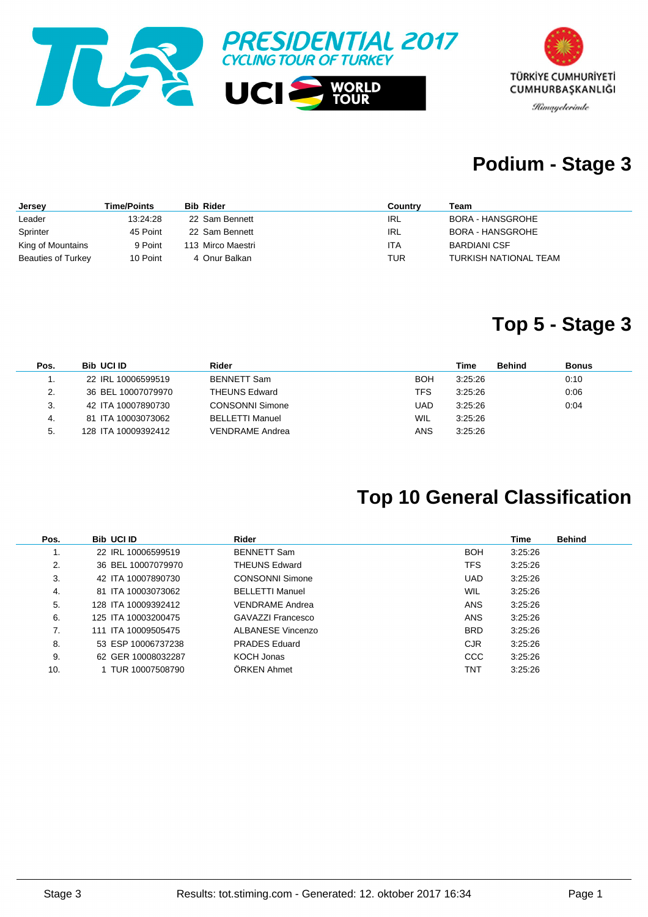



### **Podium - Stage 3**

| Jersey                    | Time/Points | <b>Bib Rider</b>  | Country    | Team                  |
|---------------------------|-------------|-------------------|------------|-----------------------|
| Leader                    | 13:24:28    | 22 Sam Bennett    | IRL        | BORA - HANSGROHE      |
| Sprinter                  | 45 Point    | 22 Sam Bennett    | IRL        | BORA - HANSGROHE      |
| King of Mountains         | 9 Point     | 113 Mirco Maestri | <b>ITA</b> | <b>BARDIANI CSF</b>   |
| <b>Beauties of Turkey</b> | 10 Point    | 4 Onur Balkan     | TUR        | TURKISH NATIONAL TEAM |

#### **Top 5 - Stage 3**

| Pos. | <b>Bib UCI ID</b>   | Rider                  |            | Time    | <b>Behind</b><br><b>Bonus</b> |
|------|---------------------|------------------------|------------|---------|-------------------------------|
|      | 22 IRL 10006599519  | <b>BENNETT Sam</b>     | BOH        | 3:25:26 | 0:10                          |
| 2.   | 36 BEL 10007079970  | <b>THEUNS Edward</b>   | TFS        | 3:25:26 | 0:06                          |
| 3.   | 42 ITA 10007890730  | <b>CONSONNI Simone</b> | UAD        | 3:25:26 | 0:04                          |
| 4.   | 81 ITA 10003073062  | <b>BELLETTI Manuel</b> | <b>WIL</b> | 3:25:26 |                               |
| 5.   | 128 ITA 10009392412 | <b>VENDRAME Andrea</b> | ANS        | 3:25:26 |                               |

### **Top 10 General Classification**

| Pos.           | <b>Bib UCI ID</b>   | Rider                  |            | Time    | <b>Behind</b> |
|----------------|---------------------|------------------------|------------|---------|---------------|
| 1.             | 22 IRL 10006599519  | <b>BENNETT Sam</b>     | <b>BOH</b> | 3:25:26 |               |
| 2.             | 36 BEL 10007079970  | <b>THEUNS Edward</b>   | TFS        | 3:25:26 |               |
| 3.             | 42 ITA 10007890730  | <b>CONSONNI Simone</b> | <b>UAD</b> | 3:25:26 |               |
| 4.             | 81 ITA 10003073062  | <b>BELLETTI Manuel</b> | <b>WIL</b> | 3:25:26 |               |
| 5.             | 128 ITA 10009392412 | <b>VENDRAME Andrea</b> | <b>ANS</b> | 3:25:26 |               |
| 6.             | 125 ITA 10003200475 | GAVAZZI Francesco      | <b>ANS</b> | 3:25:26 |               |
| 7 <sub>1</sub> | 111 ITA 10009505475 | ALBANESE Vincenzo      | <b>BRD</b> | 3:25:26 |               |
| 8.             | 53 ESP 10006737238  | <b>PRADES</b> Eduard   | <b>CJR</b> | 3:25:26 |               |
| 9.             | 62 GER 10008032287  | KOCH Jonas             | <b>CCC</b> | 3:25:26 |               |
| 10.            | 1 TUR 10007508790   | ÖRKEN Ahmet            | TNT        | 3:25:26 |               |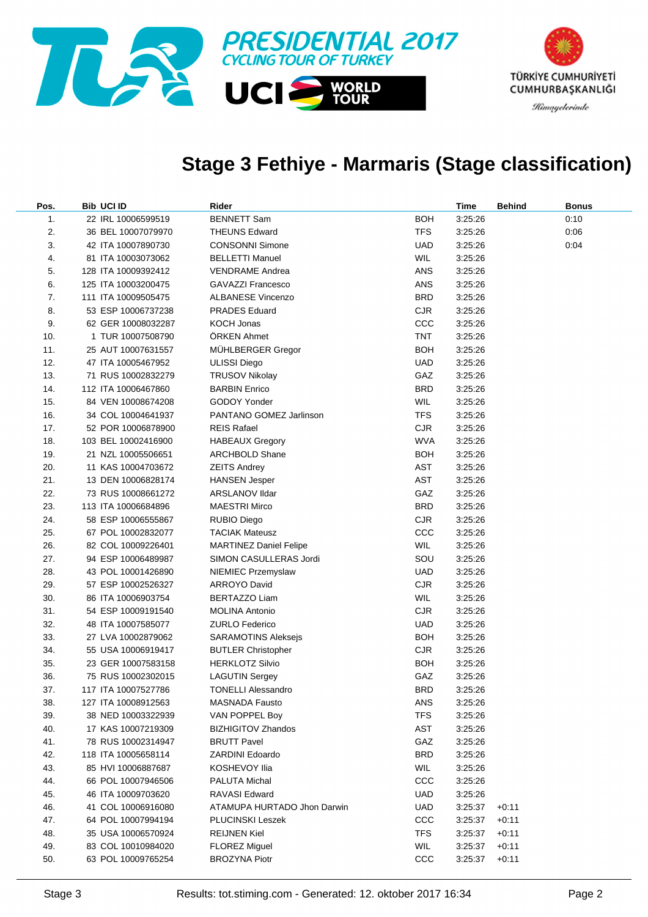

#### **Stage 3 Fethiye - Marmaris (Stage classification)**

| Pos. | Bib UCI ID          | Rider                         |            | Time    | <b>Behind</b> | <b>Bonus</b> |
|------|---------------------|-------------------------------|------------|---------|---------------|--------------|
| 1.   | 22 IRL 10006599519  | <b>BENNETT Sam</b>            | <b>BOH</b> | 3:25:26 |               | 0:10         |
| 2.   | 36 BEL 10007079970  | <b>THEUNS Edward</b>          | <b>TFS</b> | 3:25:26 |               | 0:06         |
| 3.   | 42 ITA 10007890730  | <b>CONSONNI Simone</b>        | <b>UAD</b> | 3:25:26 |               | 0:04         |
| 4.   | 81 ITA 10003073062  | <b>BELLETTI Manuel</b>        | WIL        | 3:25:26 |               |              |
| 5.   | 128 ITA 10009392412 | <b>VENDRAME Andrea</b>        | <b>ANS</b> | 3:25:26 |               |              |
| 6.   | 125 ITA 10003200475 | <b>GAVAZZI Francesco</b>      | ANS        | 3:25:26 |               |              |
| 7.   | 111 ITA 10009505475 | <b>ALBANESE Vincenzo</b>      | <b>BRD</b> | 3:25:26 |               |              |
| 8.   | 53 ESP 10006737238  | <b>PRADES Eduard</b>          | <b>CJR</b> | 3:25:26 |               |              |
| 9.   | 62 GER 10008032287  | <b>KOCH Jonas</b>             | ccc        | 3:25:26 |               |              |
| 10.  | 1 TUR 10007508790   | ÖRKEN Ahmet                   | <b>TNT</b> | 3:25:26 |               |              |
| 11.  | 25 AUT 10007631557  | MÜHLBERGER Gregor             | <b>BOH</b> | 3:25:26 |               |              |
| 12.  | 47 ITA 10005467952  | <b>ULISSI Diego</b>           | <b>UAD</b> | 3:25:26 |               |              |
| 13.  | 71 RUS 10002832279  | <b>TRUSOV Nikolay</b>         | GAZ        | 3:25:26 |               |              |
| 14.  | 112 ITA 10006467860 | <b>BARBIN Enrico</b>          | <b>BRD</b> | 3:25:26 |               |              |
| 15.  | 84 VEN 10008674208  | GODOY Yonder                  | WIL        | 3:25:26 |               |              |
| 16.  | 34 COL 10004641937  | PANTANO GOMEZ Jarlinson       | <b>TFS</b> | 3:25:26 |               |              |
| 17.  | 52 POR 10006878900  | <b>REIS Rafael</b>            | <b>CJR</b> | 3:25:26 |               |              |
| 18.  | 103 BEL 10002416900 | <b>HABEAUX Gregory</b>        | <b>WVA</b> | 3:25:26 |               |              |
| 19.  | 21 NZL 10005506651  | <b>ARCHBOLD Shane</b>         | <b>BOH</b> | 3:25:26 |               |              |
| 20.  | 11 KAS 10004703672  | <b>ZEITS Andrey</b>           | AST        | 3:25:26 |               |              |
| 21.  | 13 DEN 10006828174  | <b>HANSEN Jesper</b>          | AST        | 3:25:26 |               |              |
| 22.  | 73 RUS 10008661272  | <b>ARSLANOV Ildar</b>         | GAZ        | 3:25:26 |               |              |
| 23.  | 113 ITA 10006684896 | <b>MAESTRI Mirco</b>          | <b>BRD</b> | 3:25:26 |               |              |
| 24.  | 58 ESP 10006555867  | <b>RUBIO Diego</b>            | <b>CJR</b> | 3:25:26 |               |              |
| 25.  | 67 POL 10002832077  | <b>TACIAK Mateusz</b>         | CCC        | 3:25:26 |               |              |
| 26.  | 82 COL 10009226401  | <b>MARTINEZ Daniel Felipe</b> | WIL        | 3:25:26 |               |              |
| 27.  | 94 ESP 10006489987  | SIMON CASULLERAS Jordi        | SOU        | 3:25:26 |               |              |
| 28.  | 43 POL 10001426890  | NIEMIEC Przemyslaw            | <b>UAD</b> | 3:25:26 |               |              |
| 29.  | 57 ESP 10002526327  | <b>ARROYO David</b>           | <b>CJR</b> | 3:25:26 |               |              |
| 30.  | 86 ITA 10006903754  | <b>BERTAZZO Liam</b>          | WIL        | 3:25:26 |               |              |
| 31.  | 54 ESP 10009191540  | <b>MOLINA Antonio</b>         | <b>CJR</b> | 3:25:26 |               |              |
| 32.  | 48 ITA 10007585077  | <b>ZURLO Federico</b>         | <b>UAD</b> | 3:25:26 |               |              |
| 33.  | 27 LVA 10002879062  | <b>SARAMOTINS Aleksejs</b>    | <b>BOH</b> | 3:25:26 |               |              |
| 34.  | 55 USA 10006919417  | <b>BUTLER Christopher</b>     | <b>CJR</b> | 3:25:26 |               |              |
| 35.  | 23 GER 10007583158  | <b>HERKLOTZ Silvio</b>        | <b>BOH</b> | 3:25:26 |               |              |
| 36.  | 75 RUS 10002302015  | <b>LAGUTIN Sergey</b>         | GAZ        | 3:25:26 |               |              |
| 37.  | 117 ITA 10007527786 | TONELLI Alessandro            | BRD        | 3:25:26 |               |              |
| 38.  | 127 ITA 10008912563 | <b>MASNADA Fausto</b>         | ANS        | 3:25:26 |               |              |
| 39.  | 38 NED 10003322939  | VAN POPPEL Boy                | <b>TFS</b> | 3:25:26 |               |              |
| 40.  | 17 KAS 10007219309  | <b>BIZHIGITOV Zhandos</b>     | AST        | 3:25:26 |               |              |
| 41.  | 78 RUS 10002314947  | <b>BRUTT Pavel</b>            | GAZ        | 3:25:26 |               |              |
| 42.  | 118 ITA 10005658114 | <b>ZARDINI Edoardo</b>        | <b>BRD</b> | 3:25:26 |               |              |
| 43.  | 85 HVI 10006887687  | KOSHEVOY Ilia                 | <b>WIL</b> | 3:25:26 |               |              |
| 44.  | 66 POL 10007946506  | <b>PALUTA Michal</b>          | ccc        | 3:25:26 |               |              |
| 45.  | 46 ITA 10009703620  | <b>RAVASI Edward</b>          | UAD        | 3:25:26 |               |              |
| 46.  | 41 COL 10006916080  | ATAMUPA HURTADO Jhon Darwin   | <b>UAD</b> | 3:25:37 | $+0:11$       |              |
| 47.  | 64 POL 10007994194  | <b>PLUCINSKI Leszek</b>       | CCC        | 3:25:37 | $+0:11$       |              |
| 48.  | 35 USA 10006570924  | <b>REIJNEN Kiel</b>           | <b>TFS</b> | 3:25:37 | $+0:11$       |              |
| 49.  | 83 COL 10010984020  | <b>FLOREZ Miguel</b>          | <b>WIL</b> | 3:25:37 | $+0:11$       |              |
| 50.  | 63 POL 10009765254  | <b>BROZYNA Piotr</b>          | CCC        | 3:25:37 | $+0:11$       |              |
|      |                     |                               |            |         |               |              |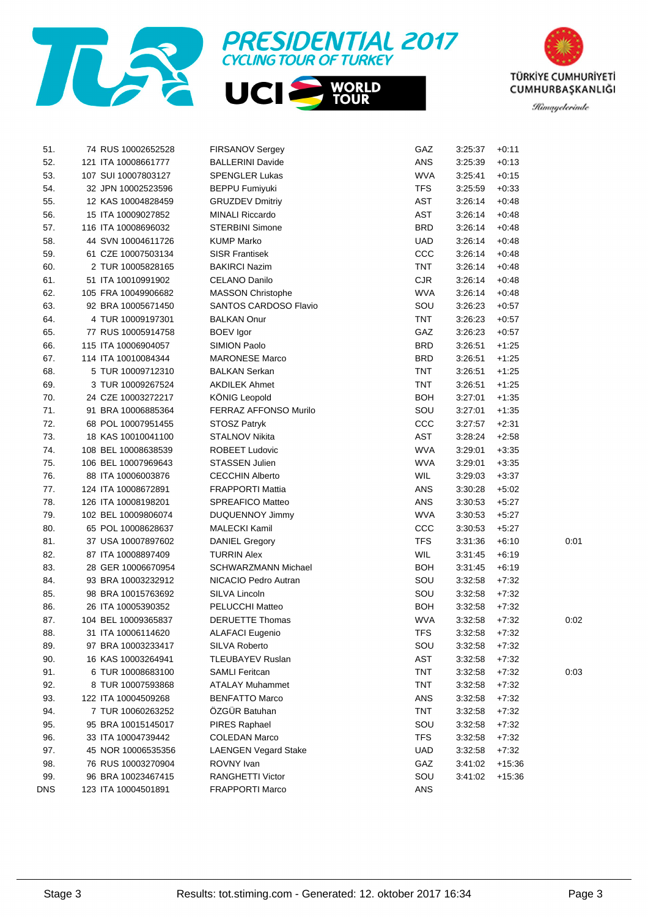





| 51. | 74 RUS 10002652528  | <b>FIRSANOV Sergey</b>      | GAZ        | 3:25:37 | $+0:11$  |      |
|-----|---------------------|-----------------------------|------------|---------|----------|------|
| 52. | 121 ITA 10008661777 | <b>BALLERINI Davide</b>     | ANS        | 3:25:39 | $+0:13$  |      |
| 53. | 107 SUI 10007803127 | <b>SPENGLER Lukas</b>       | <b>WVA</b> | 3:25:41 | $+0:15$  |      |
| 54. | 32 JPN 10002523596  | <b>BEPPU Fumiyuki</b>       | <b>TFS</b> | 3:25:59 | $+0.33$  |      |
| 55. | 12 KAS 10004828459  | <b>GRUZDEV Dmitriy</b>      | AST        | 3:26:14 | $+0.48$  |      |
| 56. | 15 ITA 10009027852  | <b>MINALI Riccardo</b>      | AST        | 3:26:14 | $+0.48$  |      |
| 57. | 116 ITA 10008696032 | <b>STERBINI Simone</b>      | <b>BRD</b> | 3:26:14 | $+0.48$  |      |
| 58. | 44 SVN 10004611726  | <b>KUMP Marko</b>           | <b>UAD</b> | 3:26:14 | $+0.48$  |      |
| 59. | 61 CZE 10007503134  | <b>SISR Frantisek</b>       | ccc        | 3:26:14 | $+0.48$  |      |
| 60. | 2 TUR 10005828165   | <b>BAKIRCI Nazim</b>        | <b>TNT</b> | 3:26:14 | $+0.48$  |      |
| 61. | 51 ITA 10010991902  | CELANO Danilo               | <b>CJR</b> | 3:26:14 | $+0.48$  |      |
| 62. | 105 FRA 10049906682 | <b>MASSON Christophe</b>    | <b>WVA</b> | 3:26:14 | $+0.48$  |      |
| 63. | 92 BRA 10005671450  | SANTOS CARDOSO Flavio       | SOU        | 3:26:23 | $+0.57$  |      |
| 64. | 4 TUR 10009197301   | <b>BALKAN Onur</b>          | <b>TNT</b> | 3:26:23 | $+0.57$  |      |
| 65. | 77 RUS 10005914758  | <b>BOEV</b> Igor            | GAZ        | 3:26:23 | $+0.57$  |      |
| 66. | 115 ITA 10006904057 | SIMION Paolo                | <b>BRD</b> | 3:26:51 | $+1:25$  |      |
| 67. | 114 ITA 10010084344 | <b>MARONESE Marco</b>       | <b>BRD</b> | 3:26:51 | $+1:25$  |      |
| 68. | 5 TUR 10009712310   | <b>BALKAN Serkan</b>        | <b>TNT</b> | 3:26:51 | $+1:25$  |      |
| 69. | 3 TUR 10009267524   | <b>AKDILEK Ahmet</b>        | <b>TNT</b> | 3:26:51 | $+1:25$  |      |
| 70. | 24 CZE 10003272217  | <b>KÖNIG Leopold</b>        | <b>BOH</b> | 3:27:01 | $+1:35$  |      |
| 71. | 91 BRA 10006885364  | FERRAZ AFFONSO Murilo       | SOU        | 3:27:01 | $+1:35$  |      |
| 72. | 68 POL 10007951455  | STOSZ Patryk                | CCC        | 3:27:57 | $+2:31$  |      |
| 73. | 18 KAS 10010041100  | STALNOV Nikita              | AST        | 3:28:24 | $+2:58$  |      |
| 74. | 108 BEL 10008638539 | <b>ROBEET Ludovic</b>       | <b>WVA</b> | 3:29:01 | $+3:35$  |      |
| 75. | 106 BEL 10007969643 | STASSEN Julien              | <b>WVA</b> | 3:29:01 | $+3:35$  |      |
| 76. | 88 ITA 10006003876  | <b>CECCHIN Alberto</b>      | WIL        | 3:29:03 | $+3:37$  |      |
| 77. | 124 ITA 10008672891 | <b>FRAPPORTI Mattia</b>     | ANS        | 3:30:28 | $+5:02$  |      |
| 78. | 126 ITA 10008198201 | SPREAFICO Matteo            | ANS        | 3:30:53 | $+5:27$  |      |
| 79. | 102 BEL 10009806074 | DUQUENNOY Jimmy             | <b>WVA</b> | 3:30:53 | $+5:27$  |      |
| 80. | 65 POL 10008628637  | MALECKI Kamil               | CCC        | 3:30:53 | $+5:27$  |      |
| 81. | 37 USA 10007897602  | <b>DANIEL Gregory</b>       | <b>TFS</b> | 3:31:36 | $+6:10$  | 0:01 |
| 82. | 87 ITA 10008897409  | <b>TURRIN Alex</b>          | WIL        | 3:31:45 | $+6:19$  |      |
| 83. | 28 GER 10006670954  | <b>SCHWARZMANN Michael</b>  | <b>BOH</b> | 3:31:45 | $+6:19$  |      |
| 84. | 93 BRA 10003232912  | NICACIO Pedro Autran        | SOU        | 3:32:58 | $+7:32$  |      |
| 85. | 98 BRA 10015763692  | SILVA Lincoln               | SOU        | 3:32:58 | $+7:32$  |      |
| 86. | 26 ITA 10005390352  | PELUCCHI Matteo             | <b>BOH</b> | 3:32:58 | $+7:32$  |      |
| 87. | 104 BEL 10009365837 | <b>DERUETTE Thomas</b>      | <b>WVA</b> | 3:32:58 | $+7:32$  | 0:02 |
| 88. | 31 ITA 10006114620  | <b>ALAFACI Eugenio</b>      | <b>TFS</b> | 3:32:58 | $+7:32$  |      |
| 89. | 97 BRA 10003233417  | SILVA Roberto               | SOU        | 3:32:58 | $+7:32$  |      |
| 90. | 16 KAS 10003264941  | TLEUBAYEV Ruslan            | AST        | 3:32:58 | $+7:32$  |      |
| 91. | 6 TUR 10008683100   | <b>SAMLI Feritcan</b>       | <b>TNT</b> | 3:32:58 | $+7:32$  | 0:03 |
| 92. | 8 TUR 10007593868   | <b>ATALAY Muhammet</b>      | <b>TNT</b> | 3:32:58 | $+7:32$  |      |
| 93. | 122 ITA 10004509268 | <b>BENFATTO Marco</b>       | <b>ANS</b> | 3:32:58 | $+7:32$  |      |
| 94. | 7 TUR 10060263252   | ÖZGÜR Batuhan               | <b>TNT</b> | 3:32:58 | $+7:32$  |      |
| 95. | 95 BRA 10015145017  | PIRES Raphael               | SOU        | 3:32:58 | $+7:32$  |      |
| 96. | 33 ITA 10004739442  | <b>COLEDAN Marco</b>        | <b>TFS</b> | 3:32:58 | $+7:32$  |      |
| 97. | 45 NOR 10006535356  | <b>LAENGEN Vegard Stake</b> | <b>UAD</b> | 3:32:58 | $+7:32$  |      |
| 98. | 76 RUS 10003270904  | ROVNY Ivan                  | GAZ        | 3:41:02 | $+15:36$ |      |
| 99. | 96 BRA 10023467415  | RANGHETTI Victor            | SOU        | 3:41:02 | $+15:36$ |      |
| DNS | 123 ITA 10004501891 | <b>FRAPPORTI Marco</b>      | ANS        |         |          |      |
|     |                     |                             |            |         |          |      |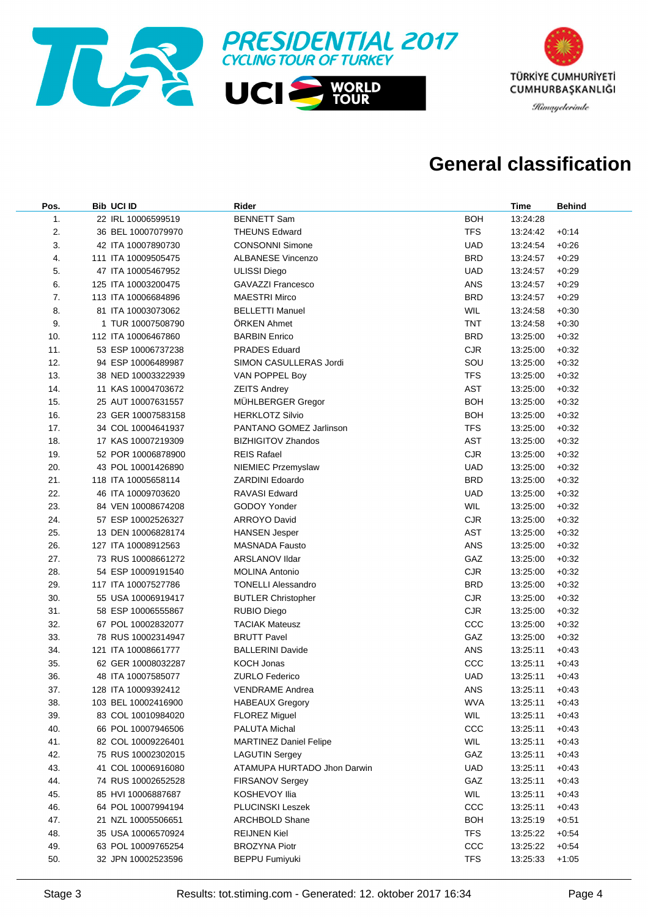



#### **General classification**

| Pos. | <b>Bib UCI ID</b>   | Rider                         |            | <b>Time</b> | <b>Behind</b> |
|------|---------------------|-------------------------------|------------|-------------|---------------|
| 1.   | 22 IRL 10006599519  | <b>BENNETT Sam</b>            | <b>BOH</b> | 13:24:28    |               |
| 2.   | 36 BEL 10007079970  | <b>THEUNS Edward</b>          | <b>TFS</b> | 13:24:42    | $+0:14$       |
| 3.   | 42 ITA 10007890730  | <b>CONSONNI Simone</b>        | <b>UAD</b> | 13:24:54    | $+0.26$       |
| 4.   | 111 ITA 10009505475 | <b>ALBANESE Vincenzo</b>      | <b>BRD</b> | 13:24:57    | $+0.29$       |
| 5.   | 47 ITA 10005467952  | <b>ULISSI Diego</b>           | <b>UAD</b> | 13:24:57    | $+0.29$       |
| 6.   | 125 ITA 10003200475 | <b>GAVAZZI Francesco</b>      | ANS        | 13:24:57    | $+0.29$       |
| 7.   | 113 ITA 10006684896 | <b>MAESTRI Mirco</b>          | <b>BRD</b> | 13:24:57    | $+0.29$       |
| 8.   | 81 ITA 10003073062  | <b>BELLETTI Manuel</b>        | <b>WIL</b> | 13:24:58    | $+0:30$       |
| 9.   | 1 TUR 10007508790   | ÖRKEN Ahmet                   | <b>TNT</b> | 13:24:58    | $+0:30$       |
| 10.  | 112 ITA 10006467860 | <b>BARBIN Enrico</b>          | <b>BRD</b> | 13:25:00    | $+0.32$       |
| 11.  | 53 ESP 10006737238  | <b>PRADES Eduard</b>          | <b>CJR</b> | 13:25:00    | $+0.32$       |
| 12.  | 94 ESP 10006489987  | SIMON CASULLERAS Jordi        | SOU        | 13:25:00    | $+0:32$       |
| 13.  | 38 NED 10003322939  | VAN POPPEL Boy                | <b>TFS</b> | 13:25:00    | $+0:32$       |
| 14.  | 11 KAS 10004703672  | <b>ZEITS Andrey</b>           | AST        | 13:25:00    | $+0:32$       |
| 15.  | 25 AUT 10007631557  | MÜHLBERGER Gregor             | <b>BOH</b> | 13:25:00    | $+0:32$       |
| 16.  | 23 GER 10007583158  | <b>HERKLOTZ Silvio</b>        | <b>BOH</b> | 13:25:00    | $+0.32$       |
| 17.  | 34 COL 10004641937  | PANTANO GOMEZ Jarlinson       | <b>TFS</b> | 13:25:00    | $+0.32$       |
| 18.  | 17 KAS 10007219309  | <b>BIZHIGITOV Zhandos</b>     | <b>AST</b> | 13:25:00    | $+0.32$       |
| 19.  | 52 POR 10006878900  | <b>REIS Rafael</b>            | <b>CJR</b> | 13:25:00    | $+0.32$       |
| 20.  | 43 POL 10001426890  | NIEMIEC Przemyslaw            | <b>UAD</b> | 13:25:00    | $+0.32$       |
| 21.  | 118 ITA 10005658114 | <b>ZARDINI Edoardo</b>        | <b>BRD</b> | 13:25:00    | $+0.32$       |
| 22.  | 46 ITA 10009703620  | <b>RAVASI Edward</b>          | <b>UAD</b> | 13:25:00    | $+0.32$       |
| 23.  | 84 VEN 10008674208  | GODOY Yonder                  | <b>WIL</b> | 13:25:00    | $+0.32$       |
| 24.  | 57 ESP 10002526327  | <b>ARROYO David</b>           | <b>CJR</b> | 13:25:00    | $+0.32$       |
| 25.  | 13 DEN 10006828174  | <b>HANSEN Jesper</b>          | <b>AST</b> | 13:25:00    | $+0.32$       |
| 26.  | 127 ITA 10008912563 | <b>MASNADA Fausto</b>         | ANS        | 13:25:00    | $+0:32$       |
| 27.  | 73 RUS 10008661272  | ARSLANOV IIdar                | GAZ        | 13:25:00    | $+0:32$       |
| 28.  | 54 ESP 10009191540  | <b>MOLINA Antonio</b>         | <b>CJR</b> | 13:25:00    | $+0:32$       |
| 29.  | 117 ITA 10007527786 | <b>TONELLI Alessandro</b>     | <b>BRD</b> | 13:25:00    | $+0:32$       |
| 30.  | 55 USA 10006919417  | <b>BUTLER Christopher</b>     | <b>CJR</b> | 13:25:00    | $+0:32$       |
| 31.  | 58 ESP 10006555867  | <b>RUBIO Diego</b>            | <b>CJR</b> | 13:25:00    | $+0:32$       |
| 32.  | 67 POL 10002832077  | <b>TACIAK Mateusz</b>         | ccc        | 13:25:00    | $+0:32$       |
| 33.  | 78 RUS 10002314947  | <b>BRUTT Pavel</b>            | GAZ        | 13:25:00    | $+0:32$       |
| 34.  | 121 ITA 10008661777 | <b>BALLERINI Davide</b>       | ANS        | 13:25:11    | $+0.43$       |
| 35.  | 62 GER 10008032287  | <b>KOCH Jonas</b>             | ccc        | 13:25:11    | $+0.43$       |
| 36.  | 48 ITA 10007585077  | <b>ZURLO Federico</b>         | <b>UAD</b> | 13:25:11    | $+0.43$       |
| 37.  | 128 ITA 10009392412 | <b>VENDRAME Andrea</b>        | ANS        | 13:25:11    | $+0.43$       |
| 38.  | 103 BEL 10002416900 | <b>HABEAUX Gregory</b>        | <b>WVA</b> | 13:25:11    | $+0.43$       |
| 39.  | 83 COL 10010984020  | <b>FLOREZ Miguel</b>          | WIL        | 13:25:11    | $+0.43$       |
| 40.  | 66 POL 10007946506  | PALUTA Michal                 | ccc        | 13:25:11    | $+0.43$       |
| 41.  | 82 COL 10009226401  | <b>MARTINEZ Daniel Felipe</b> | <b>WIL</b> | 13:25:11    | $+0.43$       |
| 42.  | 75 RUS 10002302015  | <b>LAGUTIN Sergey</b>         | GAZ        | 13:25:11    | $+0.43$       |
| 43.  | 41 COL 10006916080  | ATAMUPA HURTADO Jhon Darwin   | <b>UAD</b> | 13:25:11    | $+0.43$       |
| 44.  | 74 RUS 10002652528  | FIRSANOV Sergey               | GAZ        | 13:25:11    | $+0.43$       |
| 45.  | 85 HVI 10006887687  | KOSHEVOY Ilia                 | <b>WIL</b> | 13:25:11    | $+0.43$       |
| 46.  | 64 POL 10007994194  | PLUCINSKI Leszek              | ccc        | 13:25:11    | $+0.43$       |
| 47.  | 21 NZL 10005506651  | <b>ARCHBOLD Shane</b>         | <b>BOH</b> | 13:25:19    | $+0:51$       |
| 48.  | 35 USA 10006570924  | <b>REIJNEN Kiel</b>           | <b>TFS</b> | 13:25:22    | $+0.54$       |
| 49.  | 63 POL 10009765254  | <b>BROZYNA Piotr</b>          | CCC        | 13:25:22    | $+0.54$       |
| 50.  | 32 JPN 10002523596  | <b>BEPPU Fumiyuki</b>         | <b>TFS</b> | 13:25:33    | $+1:05$       |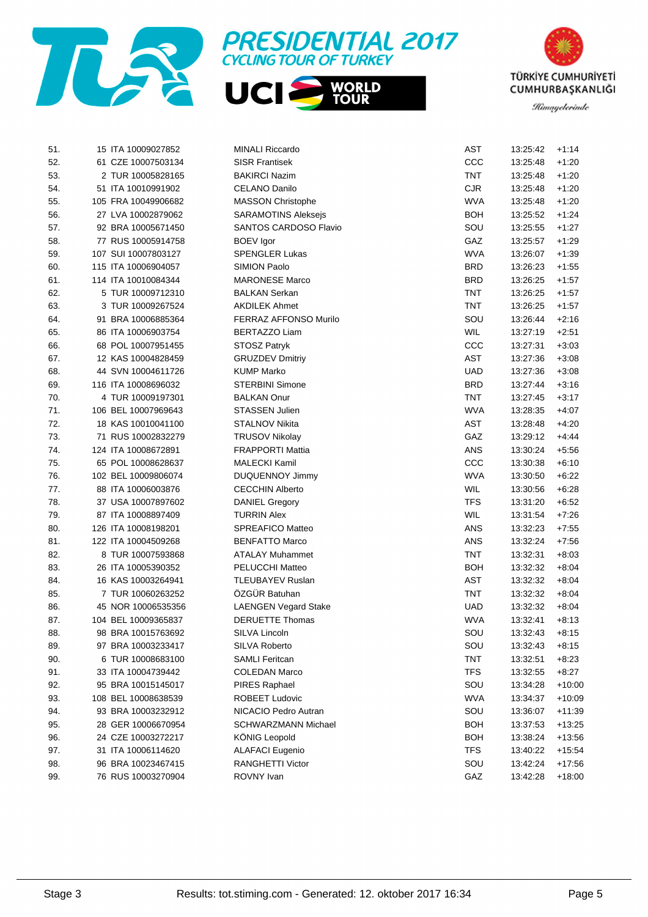





| 51. | 15 ITA 10009027852  | <b>MINALI Riccardo</b>      | <b>AST</b> | 13:25:42 | $+1:14$  |
|-----|---------------------|-----------------------------|------------|----------|----------|
| 52. | 61 CZE 10007503134  | <b>SISR Frantisek</b>       | CCC        | 13:25:48 | $+1:20$  |
| 53. | 2 TUR 10005828165   | <b>BAKIRCI Nazim</b>        | <b>TNT</b> | 13:25:48 | $+1:20$  |
| 54. | 51 ITA 10010991902  | CELANO Danilo               | <b>CJR</b> | 13:25:48 | $+1:20$  |
| 55. | 105 FRA 10049906682 | <b>MASSON Christophe</b>    | <b>WVA</b> | 13:25:48 | $+1:20$  |
| 56. | 27 LVA 10002879062  | <b>SARAMOTINS Aleksejs</b>  | <b>BOH</b> | 13:25:52 | $+1:24$  |
| 57. | 92 BRA 10005671450  | SANTOS CARDOSO Flavio       | SOU        | 13:25:55 | $+1:27$  |
| 58. | 77 RUS 10005914758  | <b>BOEV</b> Igor            | GAZ        | 13:25:57 | $+1:29$  |
| 59. | 107 SUI 10007803127 | <b>SPENGLER Lukas</b>       | <b>WVA</b> | 13:26:07 | $+1:39$  |
| 60. | 115 ITA 10006904057 | SIMION Paolo                | <b>BRD</b> | 13:26:23 | $+1:55$  |
| 61. | 114 ITA 10010084344 | <b>MARONESE Marco</b>       | <b>BRD</b> | 13:26:25 | $+1:57$  |
| 62. | 5 TUR 10009712310   | <b>BALKAN Serkan</b>        | <b>TNT</b> | 13:26:25 | $+1:57$  |
| 63. | 3 TUR 10009267524   | <b>AKDILEK Ahmet</b>        | <b>TNT</b> | 13:26:25 | $+1:57$  |
| 64. | 91 BRA 10006885364  | FERRAZ AFFONSO Murilo       | SOU        | 13:26:44 | $+2:16$  |
| 65. | 86 ITA 10006903754  | <b>BERTAZZO Liam</b>        | <b>WIL</b> | 13:27:19 | $+2:51$  |
| 66. | 68 POL 10007951455  | STOSZ Patryk                | CCC        | 13:27:31 | $+3:03$  |
| 67. | 12 KAS 10004828459  | <b>GRUZDEV Dmitriy</b>      | <b>AST</b> | 13:27:36 | $+3:08$  |
| 68. | 44 SVN 10004611726  | KUMP Marko                  | <b>UAD</b> | 13:27:36 | $+3:08$  |
| 69. | 116 ITA 10008696032 | <b>STERBINI Simone</b>      | <b>BRD</b> | 13:27:44 | $+3:16$  |
| 70. | 4 TUR 10009197301   | <b>BALKAN Onur</b>          | <b>TNT</b> | 13:27:45 | $+3:17$  |
| 71. | 106 BEL 10007969643 | <b>STASSEN Julien</b>       | <b>WVA</b> | 13:28:35 | $+4:07$  |
| 72. | 18 KAS 10010041100  | STALNOV Nikita              | <b>AST</b> | 13:28:48 | $+4:20$  |
| 73. | 71 RUS 10002832279  | <b>TRUSOV Nikolay</b>       | GAZ        | 13:29:12 | $+4.44$  |
| 74. | 124 ITA 10008672891 | <b>FRAPPORTI Mattia</b>     | ANS        | 13:30:24 | $+5:56$  |
| 75. | 65 POL 10008628637  | <b>MALECKI Kamil</b>        | CCC        | 13:30:38 | $+6:10$  |
| 76. | 102 BEL 10009806074 | <b>DUQUENNOY Jimmy</b>      | <b>WVA</b> | 13:30:50 | $+6.22$  |
| 77. | 88 ITA 10006003876  | <b>CECCHIN Alberto</b>      | <b>WIL</b> | 13:30:56 | $+6.28$  |
| 78. | 37 USA 10007897602  | <b>DANIEL Gregory</b>       | <b>TFS</b> | 13:31:20 | $+6.52$  |
| 79. | 87 ITA 10008897409  | <b>TURRIN Alex</b>          | <b>WIL</b> | 13:31:54 | $+7:26$  |
| 80. | 126 ITA 10008198201 | SPREAFICO Matteo            | ANS        | 13:32:23 | $+7:55$  |
| 81. | 122 ITA 10004509268 | <b>BENFATTO Marco</b>       | ANS        | 13:32:24 | $+7:56$  |
| 82. | 8 TUR 10007593868   | <b>ATALAY Muhammet</b>      | <b>TNT</b> | 13:32:31 | $+8.03$  |
| 83. | 26 ITA 10005390352  | PELUCCHI Matteo             | <b>BOH</b> | 13:32:32 | $+8.04$  |
| 84. | 16 KAS 10003264941  | TLEUBAYEV Ruslan            | AST        | 13:32:32 | $+8.04$  |
| 85. | 7 TUR 10060263252   | ÖZGÜR Batuhan               | <b>TNT</b> | 13:32:32 | $+8.04$  |
| 86. | 45 NOR 10006535356  | <b>LAENGEN Vegard Stake</b> | <b>UAD</b> | 13:32:32 | $+8.04$  |
| 87. | 104 BEL 10009365837 | <b>DERUETTE Thomas</b>      | <b>WVA</b> | 13:32:41 | $+8:13$  |
| 88. | 98 BRA 10015763692  | SILVA Lincoln               | SOU        | 13:32:43 | $+8:15$  |
| 89. | 97 BRA 10003233417  | SILVA Roberto               | SOU        | 13:32:43 | $+8:15$  |
| 90. | 6 TUR 10008683100   | <b>SAMLI Feritcan</b>       | TNT        | 13:32:51 | $+8:23$  |
| 91. | 33 ITA 10004739442  | <b>COLEDAN Marco</b>        | <b>TFS</b> | 13:32:55 | $+8:27$  |
| 92. | 95 BRA 10015145017  | PIRES Raphael               | SOU        | 13:34:28 | $+10:00$ |
| 93. | 108 BEL 10008638539 | ROBEET Ludovic              | <b>WVA</b> | 13:34:37 | $+10:09$ |
| 94. | 93 BRA 10003232912  | NICACIO Pedro Autran        | SOU        | 13:36:07 | $+11:39$ |
| 95. | 28 GER 10006670954  | <b>SCHWARZMANN Michael</b>  | <b>BOH</b> | 13:37:53 | $+13:25$ |
| 96. | 24 CZE 10003272217  | <b>KÖNIG Leopold</b>        | <b>BOH</b> | 13:38:24 | $+13:56$ |
| 97. | 31 ITA 10006114620  | <b>ALAFACI Eugenio</b>      | <b>TFS</b> | 13:40:22 | $+15:54$ |
| 98. | 96 BRA 10023467415  | <b>RANGHETTI Victor</b>     | SOU        | 13:42:24 | $+17:56$ |
| 99. | 76 RUS 10003270904  | ROVNY Ivan                  | GAZ        | 13:42:28 | $+18:00$ |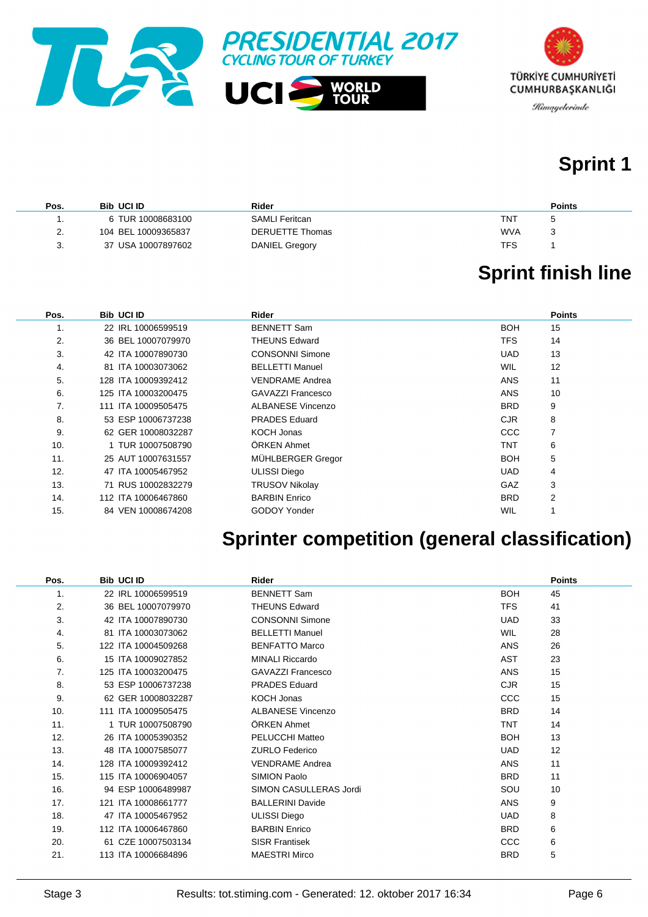



## **Sprint 1**

| Pos. | <b>Bib UCI ID</b>   | Rider           | <b>Points</b> |
|------|---------------------|-----------------|---------------|
|      | 6 TUR 10008683100   | SAMLI Feritcan  | TNT           |
| 2.   | 104 BEL 10009365837 | DERUETTE Thomas | <b>WVA</b>    |
| 3.   | 37 USA 10007897602  | DANIEL Gregory  | TFS           |

# **Sprint finish line**

| Pos. | <b>Bib UCI ID</b>   | Rider                  |            | <b>Points</b> |
|------|---------------------|------------------------|------------|---------------|
| 1.   | 22 IRL 10006599519  | <b>BENNETT Sam</b>     | <b>BOH</b> | 15            |
| 2.   | 36 BEL 10007079970  | <b>THEUNS Edward</b>   | <b>TFS</b> | 14            |
| 3.   | 42 ITA 10007890730  | <b>CONSONNI Simone</b> | <b>UAD</b> | 13            |
| 4.   | 81 ITA 10003073062  | <b>BELLETTI Manuel</b> | <b>WIL</b> | 12            |
| 5.   | 128 ITA 10009392412 | <b>VENDRAME Andrea</b> | <b>ANS</b> | 11            |
| 6.   | 125 ITA 10003200475 | GAVAZZI Francesco      | <b>ANS</b> | 10            |
| 7.   | 111 ITA 10009505475 | ALBANESE Vincenzo      | <b>BRD</b> | 9             |
| 8.   | 53 ESP 10006737238  | <b>PRADES</b> Eduard   | <b>CJR</b> | 8             |
| 9.   | 62 GER 10008032287  | KOCH Jonas             | <b>CCC</b> | 7             |
| 10.  | 1 TUR 10007508790   | ÖRKEN Ahmet            | TNT        | 6             |
| 11.  | 25 AUT 10007631557  | MÜHLBERGER Gregor      | <b>BOH</b> | 5             |
| 12.  | 47 ITA 10005467952  | <b>ULISSI Diego</b>    | <b>UAD</b> | 4             |
| 13.  | 71 RUS 10002832279  | <b>TRUSOV Nikolay</b>  | <b>GAZ</b> | 3             |
| 14.  | 112 ITA 10006467860 | <b>BARBIN Enrico</b>   | <b>BRD</b> | 2             |
| 15.  | 84 VEN 10008674208  | <b>GODOY Yonder</b>    | WIL        |               |

## **Sprinter competition (general classification)**

| Pos. | <b>Bib UCI ID</b>   | <b>Rider</b>             |            | <b>Points</b> |
|------|---------------------|--------------------------|------------|---------------|
| 1.   | 22 IRL 10006599519  | <b>BENNETT Sam</b>       | <b>BOH</b> | 45            |
| 2.   | 36 BEL 10007079970  | <b>THEUNS Edward</b>     | <b>TFS</b> | 41            |
| 3.   | 42 ITA 10007890730  | <b>CONSONNI Simone</b>   | <b>UAD</b> | 33            |
| 4.   | 81 ITA 10003073062  | <b>BELLETTI Manuel</b>   | <b>WIL</b> | 28            |
| 5.   | 122 ITA 10004509268 | <b>BENFATTO Marco</b>    | <b>ANS</b> | 26            |
| 6.   | 15 ITA 10009027852  | <b>MINALI Riccardo</b>   | <b>AST</b> | 23            |
| 7.   | 125 ITA 10003200475 | <b>GAVAZZI Francesco</b> | <b>ANS</b> | 15            |
| 8.   | 53 ESP 10006737238  | <b>PRADES Eduard</b>     | <b>CJR</b> | 15            |
| 9.   | 62 GER 10008032287  | <b>KOCH Jonas</b>        | <b>CCC</b> | 15            |
| 10.  | 111 ITA 10009505475 | <b>ALBANESE Vincenzo</b> | <b>BRD</b> | 14            |
| 11.  | 1 TUR 10007508790   | ÖRKEN Ahmet              | <b>TNT</b> | 14            |
| 12.  | 26 ITA 10005390352  | PELUCCHI Matteo          | <b>BOH</b> | 13            |
| 13.  | 48 ITA 10007585077  | <b>ZURLO Federico</b>    | <b>UAD</b> | 12            |
| 14.  | 128 ITA 10009392412 | <b>VENDRAME Andrea</b>   | <b>ANS</b> | 11            |
| 15.  | 115 ITA 10006904057 | SIMION Paolo             | <b>BRD</b> | 11            |
| 16.  | 94 ESP 10006489987  | SIMON CASULLERAS Jordi   | SOU        | 10            |
| 17.  | 121 ITA 10008661777 | <b>BALLERINI Davide</b>  | <b>ANS</b> | 9             |
| 18.  | 47 ITA 10005467952  | <b>ULISSI Diego</b>      | <b>UAD</b> | 8             |
| 19.  | 112 ITA 10006467860 | <b>BARBIN Enrico</b>     | <b>BRD</b> | 6             |
| 20.  | 61 CZE 10007503134  | <b>SISR Frantisek</b>    | CCC        | 6             |
| 21.  | 113 ITA 10006684896 | <b>MAESTRI Mirco</b>     | <b>BRD</b> | 5             |
|      |                     |                          |            |               |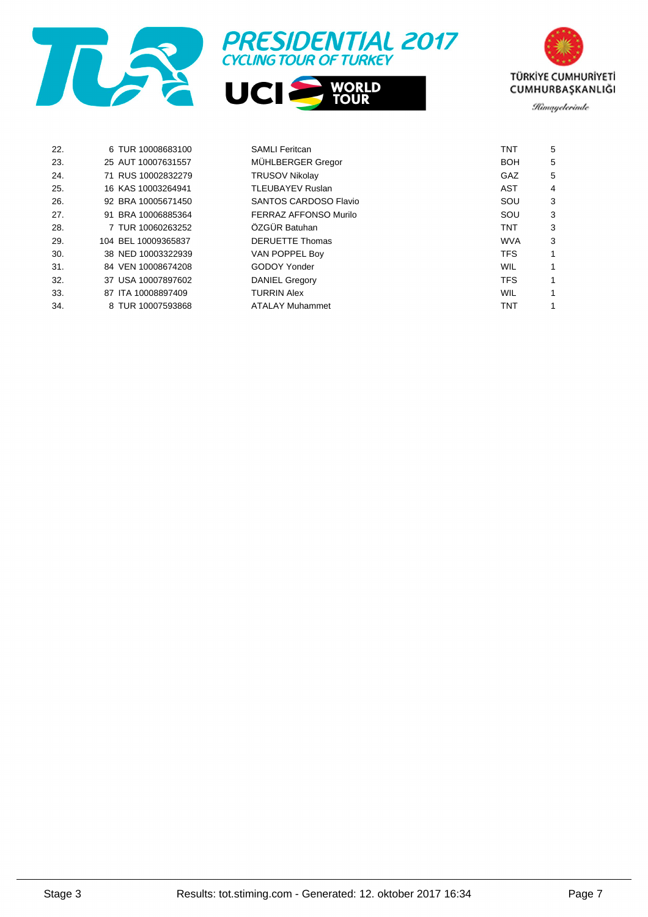





| 22. | 6 TUR 10008683100   | <b>SAMLI Feritcan</b>  | <b>TNT</b> | 5 |
|-----|---------------------|------------------------|------------|---|
| 23. | 25 AUT 10007631557  | MÜHLBERGER Gregor      | <b>BOH</b> | 5 |
| 24. | 71 RUS 10002832279  | <b>TRUSOV Nikolay</b>  | GAZ        | 5 |
| 25. | 16 KAS 10003264941  | TLEUBAYEV Ruslan       | AST        | 4 |
| 26. | 92 BRA 10005671450  | SANTOS CARDOSO Flavio  | SOU        | 3 |
| 27. | 91 BRA 10006885364  | FERRAZ AFFONSO Murilo  | SOU        | 3 |
| 28. | 7 TUR 10060263252   | ÖZGÜR Batuhan          | <b>TNT</b> | 3 |
| 29. | 104 BEL 10009365837 | <b>DERUETTE Thomas</b> | <b>WVA</b> | 3 |
| 30. | 38 NED 10003322939  | VAN POPPEL Boy         | <b>TFS</b> |   |
| 31. | 84 VEN 10008674208  | GODOY Yonder           | WIL        |   |
| 32. | 37 USA 10007897602  | <b>DANIEL Gregory</b>  | <b>TFS</b> |   |
| 33. | 87 ITA 10008897409  | <b>TURRIN Alex</b>     | WIL        |   |
| 34. | 8 TUR 10007593868   | <b>ATALAY Muhammet</b> | <b>TNT</b> |   |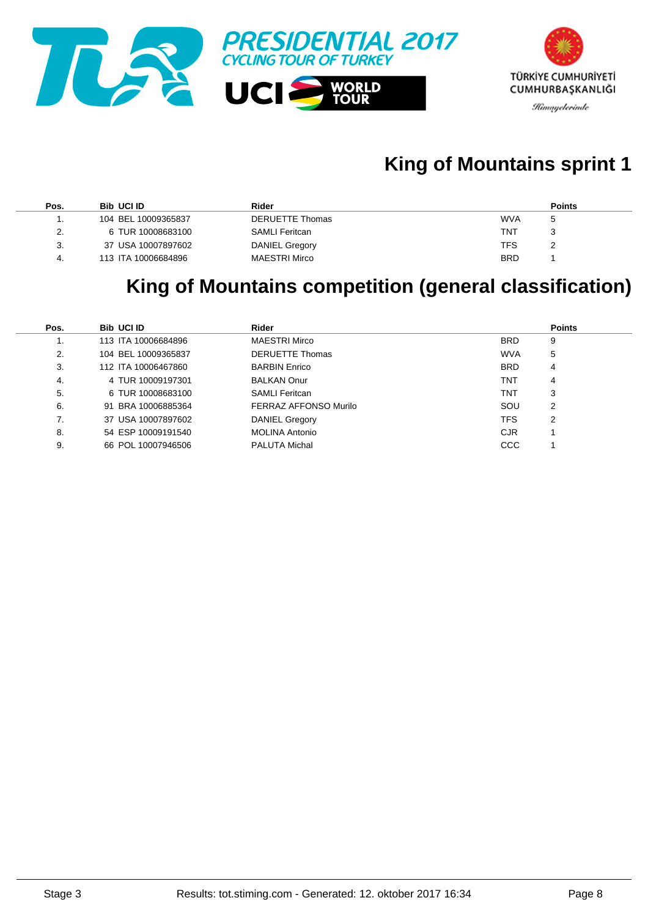

## **King of Mountains sprint 1**

| Pos. | <b>Bib UCI ID</b>   | Rider                  | <b>Points</b> |
|------|---------------------|------------------------|---------------|
|      | 104 BEL 10009365837 | <b>DERUETTE Thomas</b> | <b>WVA</b>    |
| 2.   | 6 TUR 10008683100   | <b>SAMLI Feritcan</b>  | TNT           |
| 3.   | 37 USA 10007897602  | <b>DANIEL Gregory</b>  | TFS           |
| -4.  | 113 ITA 10006684896 | <b>MAESTRI Mirco</b>   | <b>BRD</b>    |

#### **King of Mountains competition (general classification)**

| Pos. | <b>Bib UCI ID</b>   | Rider                  |            | <b>Points</b> |
|------|---------------------|------------------------|------------|---------------|
|      | 113 ITA 10006684896 | <b>MAESTRI Mirco</b>   | <b>BRD</b> | 9             |
| 2.   | 104 BEL 10009365837 | <b>DERUETTE Thomas</b> | <b>WVA</b> | 5             |
| 3.   | 112 ITA 10006467860 | <b>BARBIN Enrico</b>   | <b>BRD</b> | 4             |
| 4.   | 4 TUR 10009197301   | <b>BALKAN Onur</b>     | TNT        | 4             |
| 5.   | 6 TUR 10008683100   | <b>SAMLI</b> Feritcan  | TNT        | 3             |
| 6.   | 91 BRA 10006885364  | FERRAZ AFFONSO Murilo  | SOU        | 2             |
|      | 37 USA 10007897602  | DANIEL Gregory         | <b>TFS</b> | 2             |
| 8.   | 54 ESP 10009191540  | <b>MOLINA Antonio</b>  | <b>CJR</b> |               |
| 9.   | 66 POL 10007946506  | <b>PALUTA Michal</b>   | <b>CCC</b> |               |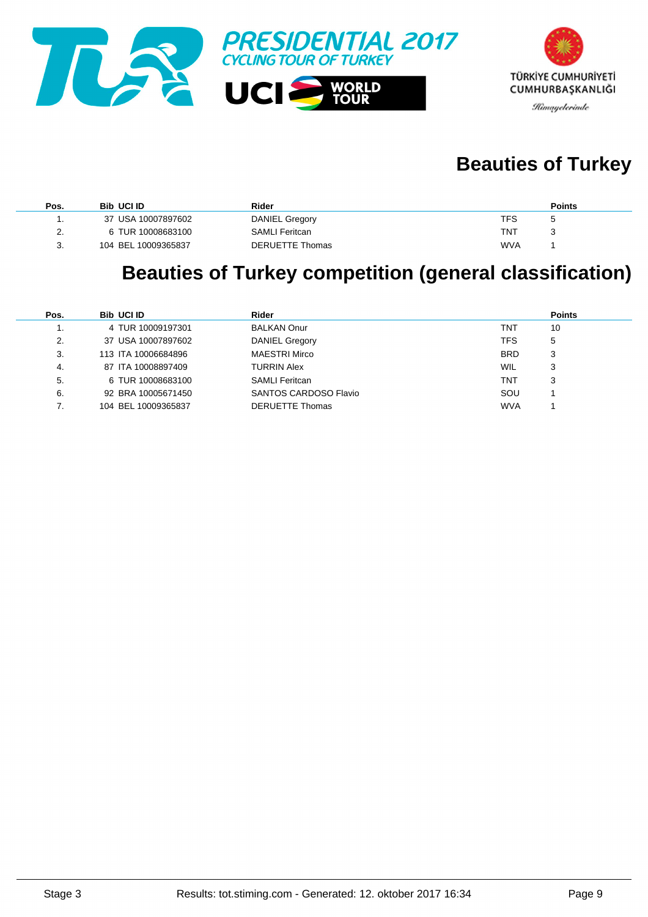



## **Beauties of Turkey**

| Pos. | <b>Bib UCI ID</b>   | Rider                 | <b>Points</b> |
|------|---------------------|-----------------------|---------------|
|      | 37 USA 10007897602  | <b>DANIEL Gregory</b> | TFS.          |
| 2.   | 6 TUR 10008683100   | <b>SAMLI Feritcan</b> | TNT           |
| ີ    | 104 BEL 10009365837 | DERUETTE Thomas       | <b>WVA</b>    |

## **Beauties of Turkey competition (general classification)**

| Pos. | <b>Bib UCI ID</b>   | Rider                  |            | <b>Points</b> |
|------|---------------------|------------------------|------------|---------------|
|      | 4 TUR 10009197301   | <b>BALKAN Onur</b>     | TNT        | 10            |
| 2.   | 37 USA 10007897602  | <b>DANIEL Gregory</b>  | TFS        | 5             |
| 3.   | 113 ITA 10006684896 | <b>MAESTRI Mirco</b>   | <b>BRD</b> | 3             |
| 4.   | 87 ITA 10008897409  | <b>TURRIN Alex</b>     | <b>WIL</b> | 3             |
| 5.   | 6 TUR 10008683100   | <b>SAMLI Feritcan</b>  | TNT        | 3             |
| 6.   | 92 BRA 10005671450  | SANTOS CARDOSO Flavio  | SOU        |               |
|      | 104 BEL 10009365837 | <b>DERUETTE Thomas</b> | <b>WVA</b> |               |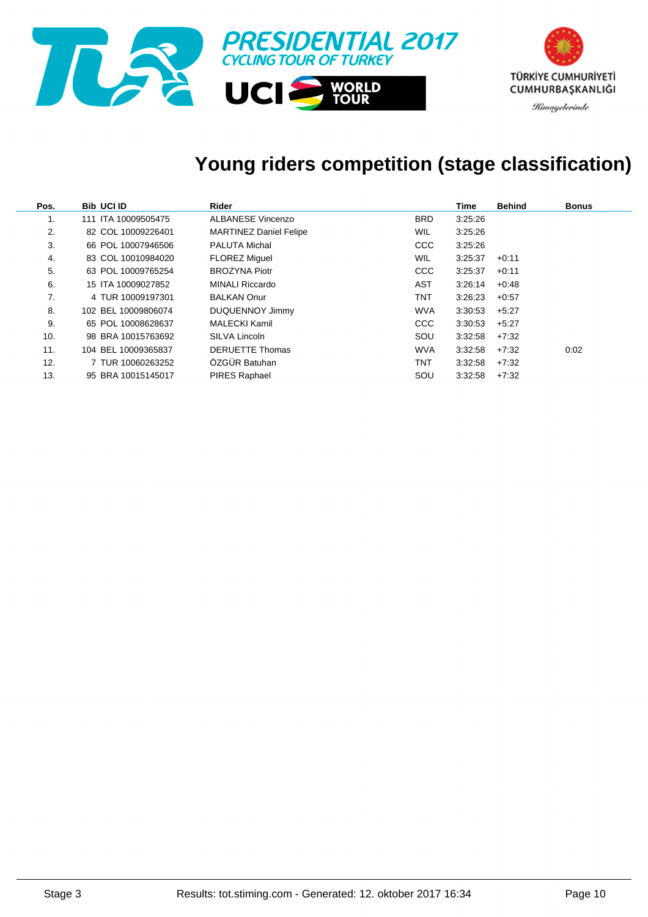

### **Young riders competition (stage classification)**

| Pos. | <b>Bib UCI ID</b>   | Rider                         |            | Time    | <b>Behind</b> | <b>Bonus</b> |
|------|---------------------|-------------------------------|------------|---------|---------------|--------------|
| 1.   | 111 ITA 10009505475 | <b>ALBANESE Vincenzo</b>      | <b>BRD</b> | 3:25:26 |               |              |
| 2.   | 82 COL 10009226401  | <b>MARTINEZ Daniel Felipe</b> | <b>WIL</b> | 3:25:26 |               |              |
| 3.   | 66 POL 10007946506  | <b>PALUTA Michal</b>          | <b>CCC</b> | 3:25:26 |               |              |
| 4.   | 83 COL 10010984020  | <b>FLOREZ Miquel</b>          | <b>WIL</b> | 3:25:37 | $+0.11$       |              |
| 5.   | 63 POL 10009765254  | <b>BROZYNA Piotr</b>          | <b>CCC</b> | 3:25:37 | $+0:11$       |              |
| 6.   | 15 ITA 10009027852  | <b>MINALI Riccardo</b>        | AST        | 3:26:14 | $+0.48$       |              |
| 7.   | 4 TUR 10009197301   | <b>BALKAN Onur</b>            | <b>TNT</b> | 3:26:23 | $+0.57$       |              |
| 8.   | 102 BEL 10009806074 | DUQUENNOY Jimmy               | <b>WVA</b> | 3:30:53 | $+5:27$       |              |
| 9.   | 65 POL 10008628637  | <b>MALECKI Kamil</b>          | <b>CCC</b> | 3:30:53 | $+5:27$       |              |
| 10.  | 98 BRA 10015763692  | SILVA Lincoln                 | SOU        | 3:32:58 | $+7:32$       |              |
| 11.  | 104 BEL 10009365837 | <b>DERUETTE Thomas</b>        | <b>WVA</b> | 3:32:58 | $+7:32$       | 0:02         |
| 12.  | 7 TUR 10060263252   | ÖZGÜR Batuhan                 | <b>TNT</b> | 3:32:58 | $+7:32$       |              |
| 13.  | 95 BRA 10015145017  | <b>PIRES Raphael</b>          | SOU        | 3:32:58 | $+7:32$       |              |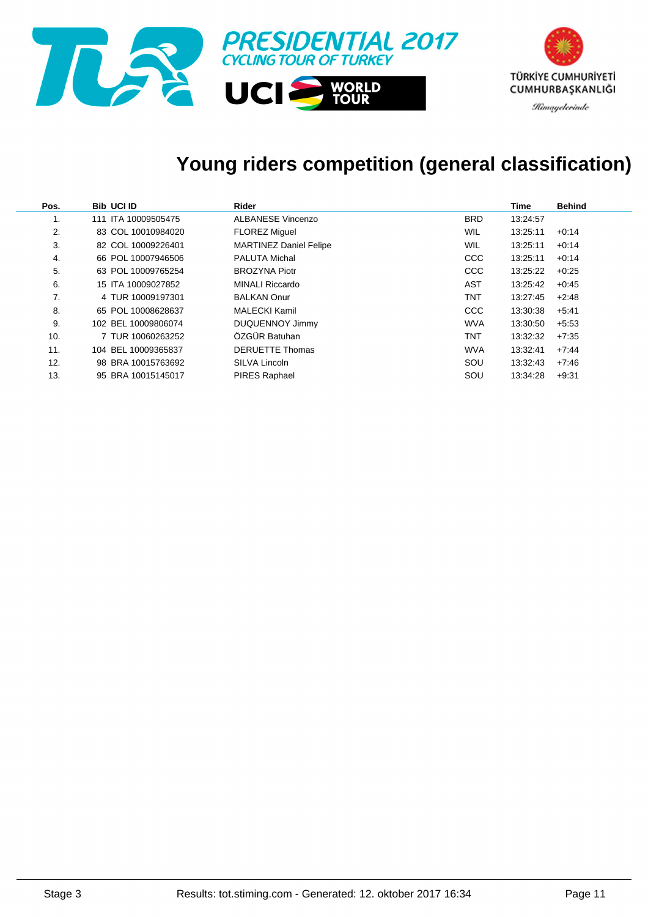

### **Young riders competition (general classification)**

| Pos. | <b>Bib UCI ID</b>   | Rider                         |            | Time     | <b>Behind</b> |
|------|---------------------|-------------------------------|------------|----------|---------------|
| 1.   | 111 ITA 10009505475 | <b>ALBANESE Vincenzo</b>      | <b>BRD</b> | 13:24:57 |               |
| 2.   | 83 COL 10010984020  | <b>FLOREZ Miguel</b>          | WIL        | 13:25:11 | $+0.14$       |
| 3.   | 82 COL 10009226401  | <b>MARTINEZ Daniel Felipe</b> | <b>WIL</b> | 13:25:11 | $+0.14$       |
| 4.   | 66 POL 10007946506  | <b>PALUTA Michal</b>          | <b>CCC</b> | 13:25:11 | $+0.14$       |
| 5.   | 63 POL 10009765254  | <b>BROZYNA Piotr</b>          | <b>CCC</b> | 13:25:22 | $+0.25$       |
| 6.   | 15 ITA 10009027852  | <b>MINALI Riccardo</b>        | AST        | 13:25:42 | $+0.45$       |
| 7.   | 4 TUR 10009197301   | <b>BALKAN Onur</b>            | <b>TNT</b> | 13:27:45 | $+2.48$       |
| 8.   | 65 POL 10008628637  | <b>MALECKI Kamil</b>          | <b>CCC</b> | 13:30:38 | $+5.41$       |
| 9.   | 102 BEL 10009806074 | <b>DUQUENNOY Jimmy</b>        | <b>WVA</b> | 13:30:50 | $+5.53$       |
| 10.  | 7 TUR 10060263252   | ÖZGÜR Batuhan                 | <b>TNT</b> | 13:32:32 | $+7.35$       |
| 11.  | 104 BEL 10009365837 | <b>DERUETTE Thomas</b>        | <b>WVA</b> | 13:32:41 | $+7.44$       |
| 12.  | 98 BRA 10015763692  | SILVA Lincoln                 | SOU        | 13:32:43 | $+7.46$       |
| 13.  | 95 BRA 10015145017  | <b>PIRES Raphael</b>          | SOU        | 13:34:28 | $+9.31$       |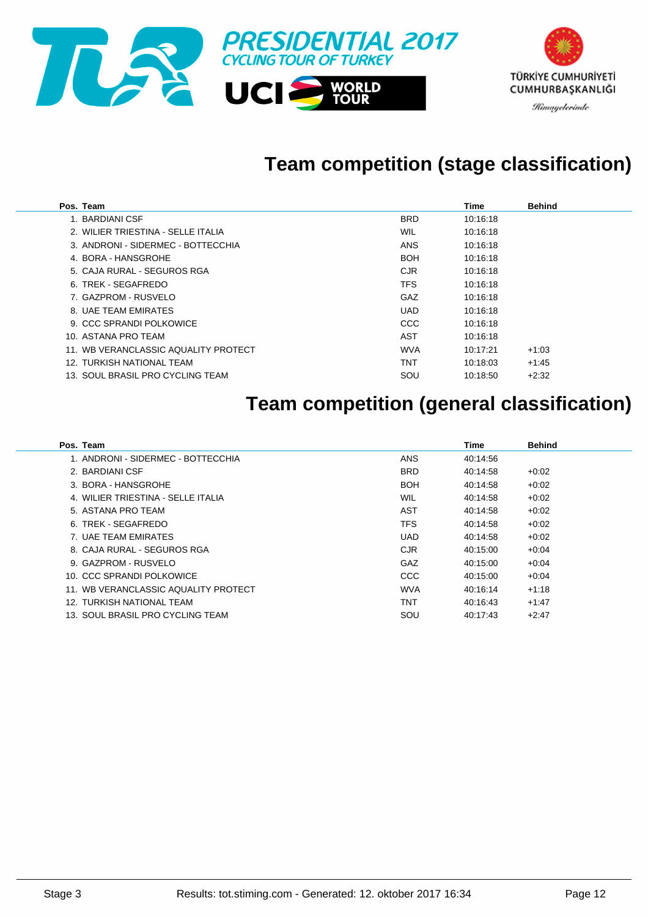

## **Team competition (stage classification)**

| Pos. Team                            |            | Time     | <b>Behind</b> |
|--------------------------------------|------------|----------|---------------|
| 1. BARDIANI CSF                      | <b>BRD</b> | 10:16:18 |               |
| 2. WILIER TRIESTINA - SELLE ITALIA   | <b>WIL</b> | 10:16:18 |               |
| 3. ANDRONI - SIDERMEC - BOTTECCHIA   | <b>ANS</b> | 10:16:18 |               |
| 4. BORA - HANSGROHE                  | <b>BOH</b> | 10:16:18 |               |
| 5. CAJA RURAL - SEGUROS RGA          | <b>CJR</b> | 10:16:18 |               |
| 6. TREK - SEGAFREDO                  | <b>TFS</b> | 10:16:18 |               |
| 7. GAZPROM - RUSVELO                 | GAZ        | 10:16:18 |               |
| 8. UAE TEAM EMIRATES                 | <b>UAD</b> | 10:16:18 |               |
| 9. CCC SPRANDI POLKOWICE             | <b>CCC</b> | 10:16:18 |               |
| 10. ASTANA PRO TEAM                  | AST        | 10:16:18 |               |
| 11. WB VERANCLASSIC AQUALITY PROTECT | <b>WVA</b> | 10:17:21 | $+1:03$       |
| 12. TURKISH NATIONAL TEAM            | <b>TNT</b> | 10:18:03 | $+1:45$       |
| 13. SOUL BRASIL PRO CYCLING TEAM     | SOU        | 10:18:50 | $+2:32$       |

### **Team competition (general classification)**

| Pos. Team                            |            | Time     | <b>Behind</b> |
|--------------------------------------|------------|----------|---------------|
| 1. ANDRONI - SIDERMEC - BOTTECCHIA   | <b>ANS</b> | 40:14:56 |               |
| 2. BARDIANI CSF                      | <b>BRD</b> | 40:14:58 | $+0:02$       |
| 3. BORA - HANSGROHE                  | BOH        | 40:14:58 | $+0.02$       |
| 4. WILIER TRIESTINA - SELLE ITALIA   | WIL        | 40:14:58 | $+0:02$       |
| 5. ASTANA PRO TEAM                   | <b>AST</b> | 40:14:58 | $+0:02$       |
| 6. TREK - SEGAFREDO                  | TFS        | 40:14:58 | $+0:02$       |
| 7. UAE TEAM EMIRATES                 | <b>UAD</b> | 40:14:58 | $+0.02$       |
| 8. CAJA RURAL - SEGUROS RGA          | <b>CJR</b> | 40:15:00 | $+0.04$       |
| 9. GAZPROM - RUSVELO                 | GAZ        | 40:15:00 | $+0.04$       |
| 10. CCC SPRANDI POLKOWICE            | CCC        | 40:15:00 | $+0.04$       |
| 11. WB VERANCLASSIC AQUALITY PROTECT | <b>WVA</b> | 40:16:14 | $+1:18$       |
| 12. TURKISH NATIONAL TEAM            | TNT        | 40:16:43 | $+1.47$       |
| 13. SOUL BRASIL PRO CYCLING TEAM     | SOU        | 40:17:43 | $+2:47$       |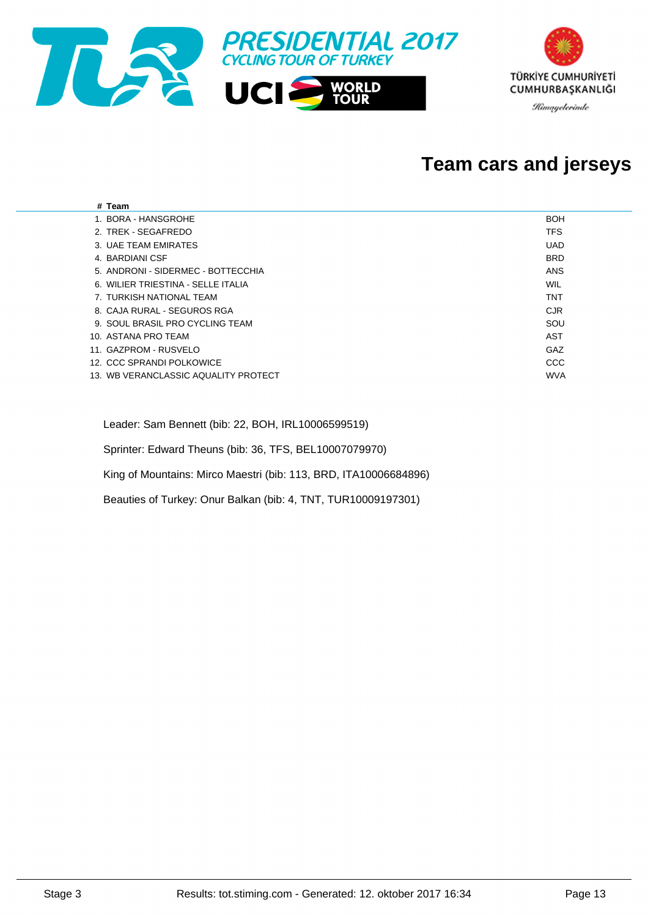

#### **Team cars and jerseys**

| # Team                               |            |
|--------------------------------------|------------|
| 1. BORA - HANSGROHE                  | <b>BOH</b> |
| 2. TREK - SEGAFREDO                  | <b>TFS</b> |
| 3. UAE TEAM EMIRATES                 | <b>UAD</b> |
| 4. BARDIANI CSF                      | <b>BRD</b> |
| 5. ANDRONI - SIDERMEC - BOTTECCHIA   | ANS        |
| 6. WILIER TRIESTINA - SELLE ITALIA   | WIL        |
| 7. TURKISH NATIONAL TEAM             | <b>TNT</b> |
| 8. CAJA RURAL - SEGUROS RGA          | <b>CJR</b> |
| 9. SOUL BRASIL PRO CYCLING TEAM      | SOU        |
| 10. ASTANA PRO TEAM                  | AST        |
| 11. GAZPROM - RUSVELO                | GAZ        |
| 12. CCC SPRANDI POLKOWICE            | CCC        |
| 13. WB VERANCLASSIC AQUALITY PROTECT | <b>WVA</b> |
|                                      |            |

Leader: Sam Bennett (bib: 22, BOH, IRL10006599519)

Sprinter: Edward Theuns (bib: 36, TFS, BEL10007079970)

King of Mountains: Mirco Maestri (bib: 113, BRD, ITA10006684896)

Beauties of Turkey: Onur Balkan (bib: 4, TNT, TUR10009197301)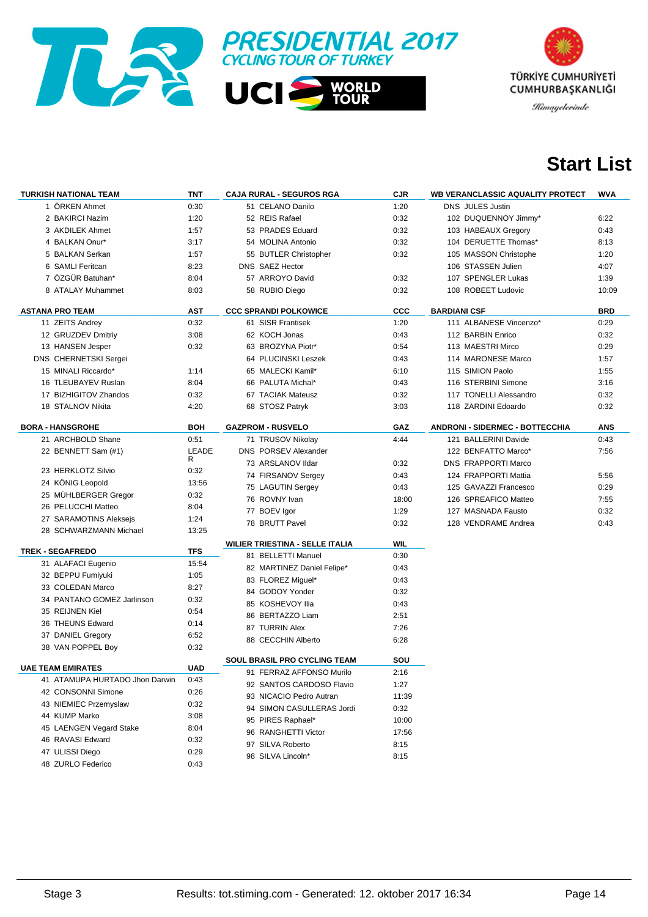



## **Start List**

| <b>TURKISH NATIONAL TEAM</b>   | TNT        | <b>CAJA RURAL - SEGUROS RGA</b>                          | <b>CJR</b>  | <b>WB VERANCLASSIC AQUALITY PROTECT</b> | WVA        |
|--------------------------------|------------|----------------------------------------------------------|-------------|-----------------------------------------|------------|
| 1 ÖRKEN Ahmet                  | 0:30       | 51 CELANO Danilo                                         | 1:20        | <b>DNS JULES Justin</b>                 |            |
| 2 BAKIRCI Nazim                | 1:20       | 52 REIS Rafael                                           | 0:32        | 102 DUQUENNOY Jimmy*                    | 6:22       |
| 3 AKDILEK Ahmet                | 1:57       | 53 PRADES Eduard                                         | 0:32        | 103 HABEAUX Gregory                     | 0:43       |
| 4 BALKAN Onur*                 | 3:17       | 54 MOLINA Antonio                                        | 0:32        | 104 DERUETTE Thomas*                    | 8:13       |
| 5 BALKAN Serkan                | 1:57       | 55 BUTLER Christopher                                    | 0:32        | 105 MASSON Christophe                   | 1:20       |
| 6 SAMLI Feritcan               | 8:23       | DNS SAEZ Hector                                          |             | 106 STASSEN Julien                      | 4:07       |
| 7 ÖZGÜR Batuhan*               | 8:04       | 57 ARROYO David                                          | 0:32        | 107 SPENGLER Lukas                      | 1:39       |
| 8 ATALAY Muhammet              | 8:03       | 58 RUBIO Diego                                           | 0:32        | 108 ROBEET Ludovic                      | 10:09      |
| <b>ASTANA PRO TEAM</b>         | AST        | <b>CCC SPRANDI POLKOWICE</b>                             | CCC         | <b>BARDIANI CSF</b>                     | <b>BRD</b> |
| 11 ZEITS Andrey                | 0:32       | 61 SISR Frantisek                                        | 1:20        | 111 ALBANESE Vincenzo*                  | 0:29       |
| 12 GRUZDEV Dmitriy             | 3:08       | 62 KOCH Jonas                                            | 0:43        | 112 BARBIN Enrico                       | 0:32       |
| 13 HANSEN Jesper               | 0:32       | 63 BROZYNA Piotr*                                        | 0:54        | 113 MAESTRI Mirco                       | 0:29       |
| DNS CHERNETSKI Sergei          |            | 64 PLUCINSKI Leszek                                      | 0:43        | 114 MARONESE Marco                      | 1:57       |
| 15 MINALI Riccardo*            | 1:14       | 65 MALECKI Kamil*                                        |             | 115 SIMION Paolo                        | 1:55       |
| 16 TLEUBAYEV Ruslan            | 8:04       | 66 PALUTA Michal*                                        | 6:10        | 116 STERBINI Simone                     |            |
|                                |            |                                                          | 0:43        |                                         | 3:16       |
| 17 BIZHIGITOV Zhandos          | 0:32       | 67 TACIAK Mateusz                                        | 0:32        | 117 TONELLI Alessandro                  | 0:32       |
| 18 STALNOV Nikita              | 4:20       | 68 STOSZ Patryk                                          | 3:03        | 118 ZARDINI Edoardo                     | 0:32       |
| <b>BORA - HANSGROHE</b>        | <b>BOH</b> | <b>GAZPROM - RUSVELO</b>                                 | GAZ         | <b>ANDRONI - SIDERMEC - BOTTECCHIA</b>  | <b>ANS</b> |
| 21 ARCHBOLD Shane              | 0:51       | 71 TRUSOV Nikolay                                        | 4:44        | 121 BALLERINI Davide                    | 0:43       |
| 22 BENNETT Sam (#1)            | LEADE      | <b>DNS PORSEV Alexander</b>                              |             | 122 BENFATTO Marco*                     | 7:56       |
|                                | R          | 73 ARSLANOV Ildar                                        | 0:32        | <b>DNS FRAPPORTI Marco</b>              |            |
| 23 HERKLOTZ Silvio             | 0:32       | 74 FIRSANOV Sergey                                       | 0:43        | 124 FRAPPORTI Mattia                    | 5:56       |
| 24 KÖNIG Leopold               | 13:56      | 75 LAGUTIN Sergey                                        | 0:43        | 125 GAVAZZI Francesco                   | 0:29       |
| 25 MÜHLBERGER Gregor           | 0:32       | 76 ROVNY Ivan                                            | 18:00       | 126 SPREAFICO Matteo                    | 7:55       |
| 26 PELUCCHI Matteo             | 8:04       | 77 BOEV Igor                                             | 1:29        | 127 MASNADA Fausto                      | 0:32       |
| 27 SARAMOTINS Aleksejs         | 1:24       | 78 BRUTT Pavel                                           | 0:32        | 128 VENDRAME Andrea                     | 0:43       |
| 28 SCHWARZMANN Michael         | 13:25      |                                                          |             |                                         |            |
| <b>TREK - SEGAFREDO</b>        | <b>TFS</b> | <b>WILIER TRIESTINA - SELLE ITALIA</b>                   | <b>WIL</b>  |                                         |            |
| 31 ALAFACI Eugenio             | 15:54      | 81 BELLETTI Manuel                                       | 0:30        |                                         |            |
| 32 BEPPU Fumiyuki              | 1:05       | 82 MARTINEZ Daniel Felipe*                               | 0:43        |                                         |            |
|                                | 8:27       | 83 FLOREZ Miguel*                                        | 0:43        |                                         |            |
| 33 COLEDAN Marco               |            | 84 GODOY Yonder                                          | 0:32        |                                         |            |
| 34 PANTANO GOMEZ Jarlinson     | 0:32       | 85 KOSHEVOY Ilia                                         | 0:43        |                                         |            |
| 35 REIJNEN Kiel                | 0:54       | 86 BERTAZZO Liam                                         | 2:51        |                                         |            |
| 36 THEUNS Edward               | 0:14       | 87 TURRIN Alex                                           | 7:26        |                                         |            |
| 37 DANIEL Gregory              | 6:52       | 88 CECCHIN Alberto                                       | 6:28        |                                         |            |
| 38 VAN POPPEL Boy              | 0:32       |                                                          |             |                                         |            |
| <b>UAE TEAM EMIRATES</b>       | <b>UAD</b> | SOUL BRASIL PRO CYCLING TEAM<br>91 FERRAZ AFFONSO Murilo | SOU<br>2:16 |                                         |            |
| 41 ATAMUPA HURTADO Jhon Darwin | 0:43       | 92 SANTOS CARDOSO Flavio                                 | 1:27        |                                         |            |
| 42 CONSONNI Simone             | 0:26       | 93 NICACIO Pedro Autran                                  | 11:39       |                                         |            |
| 43 NIEMIEC Przemyslaw          | 0:32       | 94 SIMON CASULLERAS Jordi                                | 0:32        |                                         |            |
| 44 KUMP Marko                  | 3:08       | 95 PIRES Raphael*                                        |             |                                         |            |
| 45 LAENGEN Vegard Stake        | 8:04       |                                                          | 10:00       |                                         |            |
| 46 RAVASI Edward               | 0:32       | 96 RANGHETTI Victor                                      | 17:56       |                                         |            |
| 47 ULISSI Diego                | 0:29       | 97 SILVA Roberto                                         | 8:15        |                                         |            |
| 48 ZURLO Federico              | 0:43       | 98 SILVA Lincoln*                                        | 8:15        |                                         |            |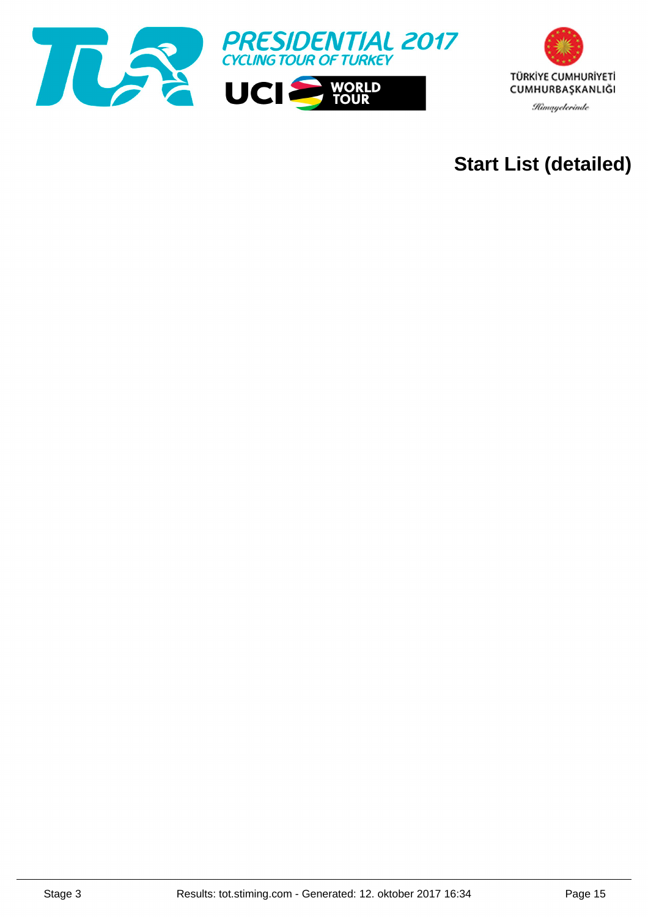



## **Start List (detailed)**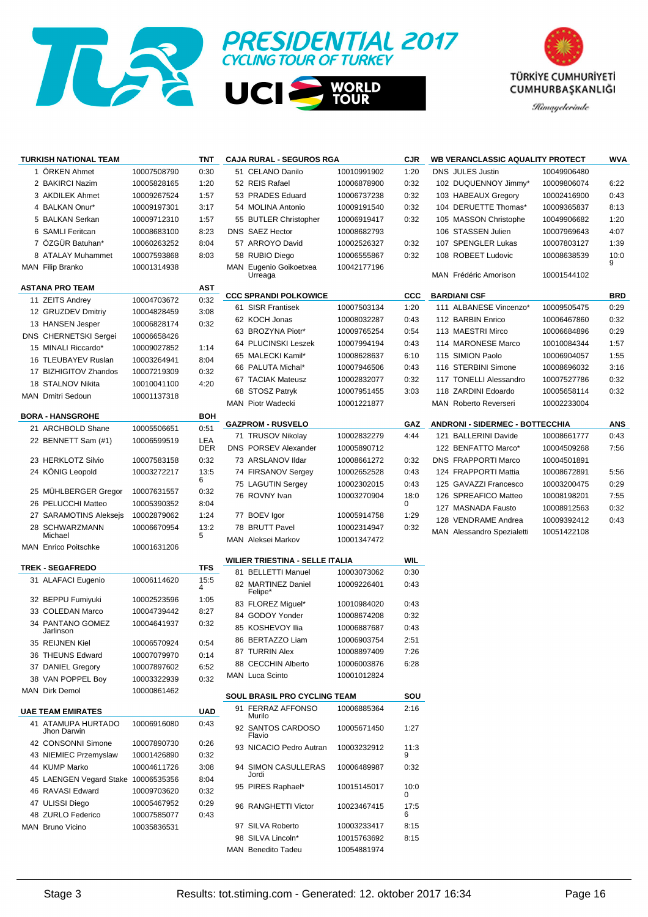



**WORLD<br>TOUR** 



|    | <b>TURKISH NATIONAL TEAM</b>                  |             | TNT        | <b>CAJA RURAL - SEGUROS RGA</b>        |             | <b>CJR</b> | <b>WB VERANCLASSIC AQUALITY PROTECT</b> |             | <b>WVA</b> |
|----|-----------------------------------------------|-------------|------------|----------------------------------------|-------------|------------|-----------------------------------------|-------------|------------|
|    | 1 ORKEN Ahmet                                 | 10007508790 | 0:30       | 51 CELANO Danilo                       | 10010991902 | 1:20       | <b>DNS JULES Justin</b>                 | 10049906480 |            |
|    | 2 BAKIRCI Nazim                               | 10005828165 | 1:20       | 52 REIS Rafael                         | 10006878900 | 0:32       | 102 DUQUENNOY Jimmy*                    | 10009806074 | 6:22       |
|    | 3 AKDILEK Ahmet                               | 10009267524 | 1:57       | 53 PRADES Eduard                       | 10006737238 | 0:32       | 103 HABEAUX Gregory                     | 10002416900 | 0:43       |
|    | 4 BALKAN Onur*                                | 10009197301 | 3:17       | 54 MOLINA Antonio                      | 10009191540 | 0:32       | 104 DERUETTE Thomas*                    | 10009365837 | 8:13       |
|    | 5 BALKAN Serkan                               | 10009712310 | 1:57       | 55 BUTLER Christopher                  | 10006919417 | 0:32       | 105 MASSON Christophe                   | 10049906682 | 1:20       |
|    | 6 SAMLI Feritcan                              | 10008683100 | 8:23       | DNS SAEZ Hector                        | 10008682793 |            | 106 STASSEN Julien                      | 10007969643 | 4:07       |
|    | 7 ÖZGÜR Batuhan*                              | 10060263252 | 8:04       | 57 ARROYO David                        | 10002526327 | 0:32       | 107 SPENGLER Lukas                      | 10007803127 | 1:39       |
|    | 8 ATALAY Muhammet                             | 10007593868 | 8:03       | 58 RUBIO Diego                         | 10006555867 | 0:32       | 108 ROBEET Ludovic                      | 10008638539 | 10:0       |
|    | MAN Filip Branko                              | 10001314938 |            | MAN Eugenio Goikoetxea                 | 10042177196 |            |                                         |             | 9          |
|    |                                               |             |            | Urreaga                                |             |            | MAN Frédéric Amorison                   | 10001544102 |            |
|    | <b>ASTANA PRO TEAM</b>                        |             | AST        | <b>CCC SPRANDI POLKOWICE</b>           |             | <b>CCC</b> | <b>BARDIANI CSF</b>                     |             | <b>BRD</b> |
|    | 11 ZEITS Andrey                               | 10004703672 | 0:32       | 61 SISR Frantisek                      | 10007503134 | 1:20       | 111 ALBANESE Vincenzo*                  | 10009505475 | 0:29       |
|    | 12 GRUZDEV Dmitriy                            | 10004828459 | 3:08       | 62 KOCH Jonas                          | 10008032287 | 0:43       | 112 BARBIN Enrico                       | 10006467860 | 0:32       |
|    | 13 HANSEN Jesper                              | 10006828174 | 0:32       | 63 BROZYNA Piotr*                      | 10009765254 | 0:54       | 113 MAESTRI Mirco                       | 10006684896 | 0:29       |
|    | DNS CHERNETSKI Sergei                         | 10006658426 |            | 64 PLUCINSKI Leszek                    | 10007994194 | 0:43       | 114 MARONESE Marco                      | 10010084344 | 1:57       |
|    | 15 MINALI Riccardo*                           | 10009027852 | 1:14       | 65 MALECKI Kamil*                      | 10008628637 | 6:10       | 115 SIMION Paolo                        | 10006904057 | 1:55       |
|    | 16 TLEUBAYEV Ruslan                           | 10003264941 | 8:04       | 66 PALUTA Michal*                      | 10007946506 | 0:43       | 116 STERBINI Simone                     | 10008696032 | 3:16       |
|    | 17 BIZHIGITOV Zhandos                         | 10007219309 | 0:32       | 67 TACIAK Mateusz                      | 10002832077 | 0:32       | 117 TONELLI Alessandro                  | 10007527786 | 0:32       |
|    | 18 STALNOV Nikita<br><b>MAN</b> Dmitri Sedoun | 10010041100 | 4:20       | 68 STOSZ Patryk                        | 10007951455 | 3:03       | 118 ZARDINI Edoardo                     | 10005658114 | 0:32       |
|    |                                               | 10001137318 |            | MAN Piotr Wadecki                      | 10001221877 |            | <b>MAN</b> Roberto Reverseri            | 10002233004 |            |
|    | <b>BORA - HANSGROHE</b>                       |             | <b>BOH</b> |                                        |             |            |                                         |             |            |
|    | 21 ARCHBOLD Shane                             | 10005506651 | 0:51       | <b>GAZPROM - RUSVELO</b>               |             | GAZ        | <b>ANDRONI - SIDERMEC - BOTTECCHIA</b>  |             | <b>ANS</b> |
|    | 22 BENNETT Sam (#1)                           | 10006599519 | LEA        | 71 TRUSOV Nikolay                      | 10002832279 | 4:44       | 121 BALLERINI Davide                    | 10008661777 | 0:43       |
|    |                                               |             | <b>DER</b> | <b>DNS PORSEV Alexander</b>            | 10005890712 |            | 122 BENFATTO Marco*                     | 10004509268 | 7:56       |
|    | 23 HERKLOTZ Silvio                            | 10007583158 | 0:32       | 73 ARSLANOV Ildar                      | 10008661272 | 0:32       | <b>DNS FRAPPORTI Marco</b>              | 10004501891 |            |
|    | 24 KÖNIG Leopold                              | 10003272217 | 13:5<br>6  | 74 FIRSANOV Sergey                     | 10002652528 | 0:43       | 124 FRAPPORTI Mattia                    | 10008672891 | 5:56       |
|    | 25 MUHLBERGER Gregor                          | 10007631557 | 0:32       | 75 LAGUTIN Sergey                      | 10002302015 | 0:43       | 125 GAVAZZI Francesco                   | 10003200475 | 0:29       |
|    | 26 PELUCCHI Matteo                            | 10005390352 | 8:04       | 76 ROVNY Ivan                          | 10003270904 | 18:0<br>0  | 126 SPREAFICO Matteo                    | 10008198201 | 7:55       |
|    | 27 SARAMOTINS Aleksejs                        | 10002879062 | 1:24       | 77 BOEV Igor                           | 10005914758 | 1:29       | 127 MASNADA Fausto                      | 10008912563 | 0:32       |
| 28 | SCHWARZMANN                                   | 10006670954 | 13:2       | 78 BRUTT Pavel                         | 10002314947 | 0:32       | 128 VENDRAME Andrea                     | 10009392412 | 0:43       |
|    | Michael                                       |             | 5          | MAN Aleksei Markov                     | 10001347472 |            | <b>MAN Alessandro Spezialetti</b>       | 10051422108 |            |
|    | <b>MAN</b> Enrico Poitschke                   | 10001631206 |            |                                        |             |            |                                         |             |            |
|    | <b>TREK - SEGAFREDO</b>                       |             | <b>TFS</b> | <b>WILIER TRIESTINA - SELLE ITALIA</b> |             | <b>WIL</b> |                                         |             |            |
|    | 31 ALAFACI Eugenio                            | 10006114620 | 15:5       | 81 BELLETTI Manuel                     | 10003073062 | 0:30       |                                         |             |            |
|    |                                               |             | 4          | 82 MARTINEZ Daniel<br>Felipe*          | 10009226401 | 0:43       |                                         |             |            |
|    | 32 BEPPU Fumiyuki                             | 10002523596 | 1:05       | 83 FLOREZ Miguel*                      | 10010984020 | 0:43       |                                         |             |            |
|    | 33 COLEDAN Marco                              | 10004739442 | 8:27       | 84 GODOY Yonder                        | 10008674208 | 0:32       |                                         |             |            |
|    | 34 PANTANO GOMEZ<br>Jarlinson                 | 10004641937 | 0:32       | 85 KOSHEVOY Ilia                       | 10006887687 | 0:43       |                                         |             |            |
|    | 35 REIJNEN Kiel                               | 10006570924 | 0:54       | 86 BERTAZZO Liam                       | 10006903754 | 2:51       |                                         |             |            |
|    | 36 THEUNS Edward                              | 10007079970 | 0:14       | 87 TURRIN Alex                         | 10008897409 | 7:26       |                                         |             |            |
|    | 37 DANIEL Gregory                             | 10007897602 | 6:52       | 88 CECCHIN Alberto                     | 10006003876 | 6:28       |                                         |             |            |
|    | 38 VAN POPPEL Boy                             | 10003322939 | 0:32       | MAN Luca Scinto                        | 10001012824 |            |                                         |             |            |
|    | MAN Dirk Demol                                | 10000861462 |            |                                        |             |            |                                         |             |            |
|    |                                               |             |            | SOUL BRASIL PRO CYCLING TEAM           |             | SOU        |                                         |             |            |
|    | <b>UAE TEAM EMIRATES</b>                      |             | <b>UAD</b> | 91 FERRAZ AFFONSO<br>Murilo            | 10006885364 | 2:16       |                                         |             |            |
|    | 41 ATAMUPA HURTADO<br>Jhon Darwin             | 10006916080 | 0:43       | 92 SANTOS CARDOSO<br>Flavio            | 10005671450 | 1:27       |                                         |             |            |
|    | 42 CONSONNI Simone                            | 10007890730 | 0:26       | 93 NICACIO Pedro Autran                | 10003232912 | 11:3       |                                         |             |            |
|    | 43 NIEMIEC Przemyslaw                         | 10001426890 | 0:32       |                                        |             | 9          |                                         |             |            |
|    | 44 KUMP Marko                                 | 10004611726 | 3:08       | 94 SIMON CASULLERAS<br>Jordi           | 10006489987 | 0:32       |                                         |             |            |
|    | 45 LAENGEN Vegard Stake 10006535356           |             | 8:04       | 95 PIRES Raphael*                      | 10015145017 | 10:0       |                                         |             |            |
|    | 46 RAVASI Edward                              | 10009703620 | 0:32       |                                        |             | 0          |                                         |             |            |
|    | 47 ULISSI Diego                               | 10005467952 | 0:29       | 96 RANGHETTI Victor                    | 10023467415 | 17:5       |                                         |             |            |
|    | 48 ZURLO Federico                             | 10007585077 | 0:43       |                                        |             | 6          |                                         |             |            |
|    | <b>MAN Bruno Vicino</b>                       | 10035836531 |            | 97 SILVA Roberto                       | 10003233417 | 8:15       |                                         |             |            |
|    |                                               |             |            | 98 SILVA Lincoln*                      | 10015763692 | 8:15       |                                         |             |            |
|    |                                               |             |            | MAN Benedito Tadeu                     | 10054881974 |            |                                         |             |            |